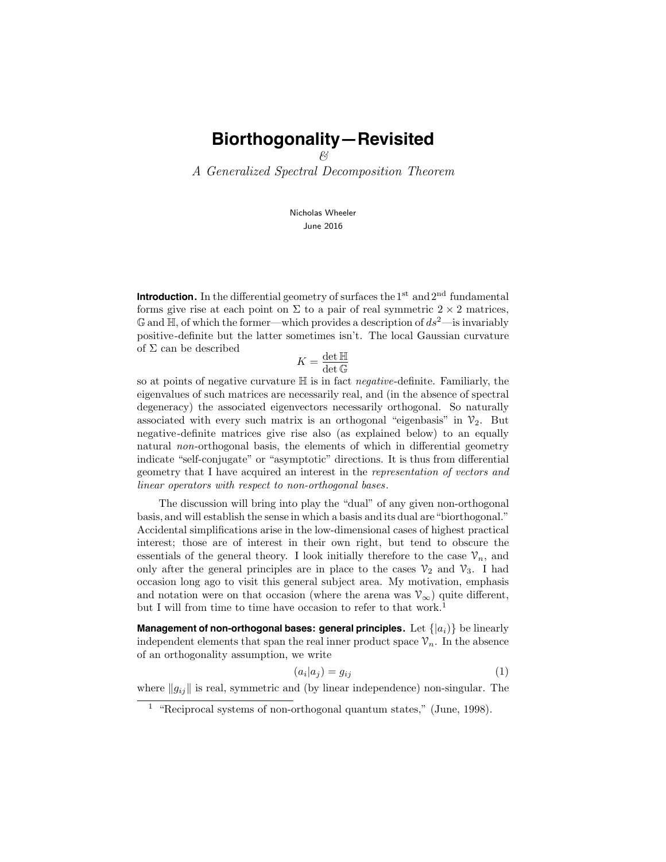& A Generalized Spectral Decomposition Theorem

> Nicholas Wheeler June 2016

**Introduction.** In the differential geometry of surfaces the  $1<sup>st</sup>$  and  $2<sup>nd</sup>$  fundamental forms give rise at each point on  $\Sigma$  to a pair of real symmetric  $2 \times 2$  matrices,  $\mathbb{G}$  and  $\mathbb{H}$ , of which the former—which provides a description of  $ds^2$ —is invariably positive-definite but the latter sometimes isn't. The local Gaussian curvature of  $\Sigma$  can be described

$$
K = \frac{\det \mathbb{H}}{\det \mathbb{G}}
$$

so at points of negative curvature  $\mathbb H$  is in fact *negative*-definite. Familiarly, the eigenvalues of such matrices are necessarily real, and (in the absence of spectral degeneracy) the associated eigenvectors necessarily orthogonal. So naturally associated with every such matrix is an orthogonal "eigenbasis" in  $\mathcal{V}_2$ . But negative-definite matrices give rise also (as explained below) to an equally natural non-orthogonal basis, the elements of which in differential geometry indicate "self-conjugate" or "asymptotic" directions. It is thus from differential geometry that I have acquired an interest in the representation of vectors and linear operators with respect to non-orthogonal bases.

The discussion will bring into play the "dual" of any given non-orthogonal basis, and will establish the sense in which a basis and its dual are"biorthogonal." Accidental simplifications arise in the low-dimensional cases of highest practical interest; those are of interest in their own right, but tend to obscure the essentials of the general theory. I look initially therefore to the case  $\mathcal{V}_n$ , and only after the general principles are in place to the cases  $\mathcal{V}_2$  and  $\mathcal{V}_3$ . I had occasion long ago to visit this general subject area. My motivation, emphasis and notation were on that occasion (where the arena was  $\mathcal{V}_{\infty}$ ) quite different, but I will from time to time have occasion to refer to that work.<sup>1</sup>

**Management of non-orthogonal bases: general principles.** Let  $\{|a_i\rangle\}$  be linearly independent elements that span the real inner product space  $\mathcal{V}_n$ . In the absence of an orthogonality assumption, we write

$$
(a_i|a_j) = g_{ij} \tag{1}
$$

where  $||g_{ij}||$  is real, symmetric and (by linear independence) non-singular. The

<sup>&</sup>lt;sup>1</sup> "Reciprocal systems of non-orthogonal quantum states," (June, 1998).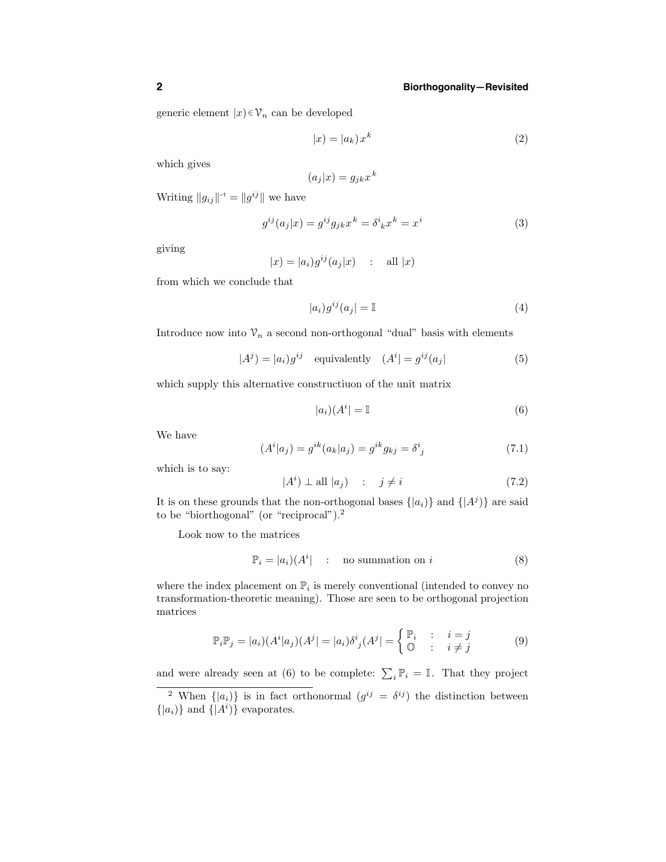generic element  $|x\rangle \in \mathcal{V}_n$  can be developed

$$
|x| = |a_k| x^k
$$
 (2)

which gives

$$
(a_j|x) = g_{jk}x^k
$$

Writing  $||g_{ij}||^{-1} = ||g^{ij}||$  we have

$$
g^{ij}(a_j|x) = g^{ij}g_{jk}x^k = \delta^i{}_k x^k = x^i
$$
\n(3)

giving

$$
|x| = |a_i|g^{ij}(a_j|x) \quad : \quad \text{all } |x|
$$

from which we conclude that

$$
|a_i)g^{ij}(a_j) = \mathbb{I}
$$
\n<sup>(4)</sup>

Introduce now into  $\mathcal{V}_n$  a second non-orthogonal "dual" basis with elements

$$
|A^{j}) = |a_{i})g^{ij} \quad \text{equivalently} \quad (A^{i}| = g^{ij}(a_{j}|
$$
 (5)

which supply this alternative constructiuon of the unit matrix

$$
|a_i|(A^i| = \mathbb{I}
$$
\n(6)

We have

$$
(Ai|aj) = gik(ak|aj) = gikgkj = \deltaij
$$
\n(7.1)

which is to say:

$$
|A^i) \perp \text{all } |a_j\rangle \quad : \quad j \neq i \tag{7.2}
$$

It is on these grounds that the non-orthogonal bases  $\{|a_i\rangle\}$  and  $\{|A^j\rangle\}$  are said to be "biorthogonal" (or "reciprocal").<sup>2</sup>

Look now to the matrices

$$
\mathbb{P}_i = |a_i\rangle (A^i) \qquad \text{in summation on } i \tag{8}
$$

where the index placement on  $\mathbb{P}_i$  is merely conventional (intended to convey no transformation-theoretic meaning). Those are seen to be orthogonal projection matrices

$$
\mathbb{P}_{i}\mathbb{P}_{j} = |a_{i})(A^{i}|a_{j})(A^{j}) = |a_{i}\rangle\delta^{i}_{j}(A^{j}) = \begin{cases} \mathbb{P}_{i} & \colon i = j \\ \mathbb{O} & \colon i \neq j \end{cases}
$$
(9)

and were already seen at (6) to be complete:  $\sum_i \mathbb{P}_i = \mathbb{I}$ . That they project

<sup>&</sup>lt;sup>2</sup> When  $\{|a_i\rangle\}$  is in fact orthonormal  $(g^{ij} = \delta^{ij})$  the distinction between  $\{|a_i)\}\$ and  $\{|A^i)\}\$ evaporates.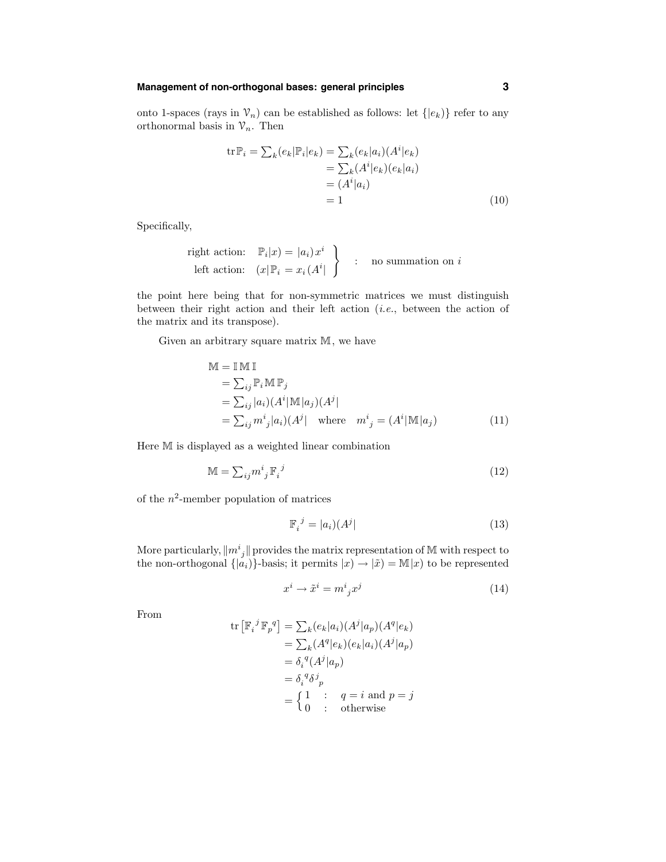#### **Management of non-orthogonal bases: general principles 3**

onto 1-spaces (rays in  $\mathcal{V}_n$ ) can be established as follows: let  $\{ |e_k\rangle \}$  refer to any orthonormal basis in  $\mathcal{V}_n$ . Then

$$
\begin{aligned} \operatorname{tr} \mathbb{P}_i &= \sum_k (e_k | \mathbb{P}_i | e_k) = \sum_k (e_k | a_i) (A^i | e_k) \\ &= \sum_k (A^i | e_k) (e_k | a_i) \\ &= (A^i | a_i) \\ &= 1 \end{aligned} \tag{10}
$$

Specifically,

right action: 
$$
\mathbb{P}_i|x) = |a_i)x^i
$$
  
left action:  $(x|\mathbb{P}_i = x_i(A^i|))$  : no summation on *i*

the point here being that for non-symmetric matrices we must distinguish between their right action and their left action (i.e., between the action of the matrix and its transpose).

Given an arbitrary square matrix M, we have

$$
\mathbb{M} = \mathbb{I} \mathbb{M} \mathbb{I}
$$
\n
$$
= \sum_{ij} \mathbb{P}_i \mathbb{M} \mathbb{P}_j
$$
\n
$$
= \sum_{ij} |a_i| (A^i | \mathbb{M} | a_j) (A^j |
$$
\n
$$
= \sum_{ij} m^i_j |a_i| (A^j | \text{ where } m^i{}_j = (A^i | \mathbb{M} | a_j)
$$
\n(11)

Here M is displayed as a weighted linear combination

$$
\mathbb{M} = \sum_{ij} m^i{}_j \mathbb{F}_i^{\ j}
$$
 (12)

of the  $n^2$ -member population of matrices

$$
\mathbb{F}_i^{\ j} = |a_i\rangle(A^j| \tag{13}
$$

More particularly,  $||m_j||$  provides the matrix representation of M with respect to the non-orthogonal  $\{|\mu_i\rangle\}$ -basis; it permits  $|x\rangle \rightarrow |\tilde{x}\rangle = M|x\rangle$  to be represented

$$
x^i \to \tilde{x}^i = m^i{}_j x^j \tag{14}
$$

From

$$
\text{tr}\left[\mathbb{F}_i^{\ j}\mathbb{F}_p^{\ q}\right] = \sum_k (e_k|a_i) (A^j|a_p) (A^q|e_k)
$$
\n
$$
= \sum_k (A^q|e_k) (e_k|a_i) (A^j|a_p)
$$
\n
$$
= \delta_i^{\ q} (A^j|a_p)
$$
\n
$$
= \delta_i^{\ q} \delta^j_{\ p}
$$
\n
$$
= \begin{cases}\n1 & \text{if } q = i \text{ and } p = j \\
0 & \text{otherwise}\n\end{cases}
$$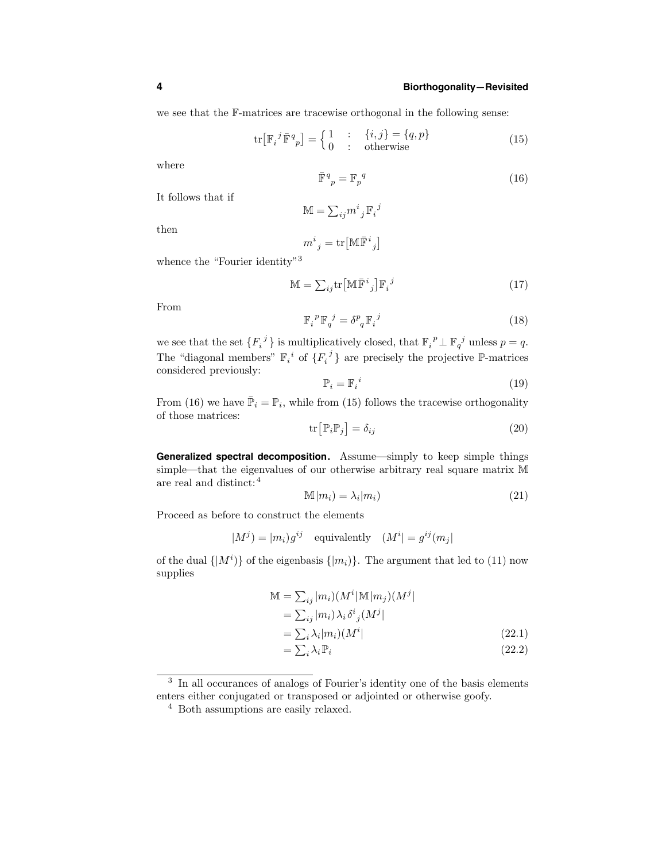we see that the F-matrices are tracewise orthogonal in the following sense:

$$
\operatorname{tr}\left[\mathbb{F}_{i}^{j}\bar{\mathbb{F}}_{p}^{q}\right] = \begin{cases} 1 & \text{:} \quad \{i,j\} = \{q,p\} \\ 0 & \text{:} \quad \text{otherwise} \end{cases}
$$
\n(15)

 $\boldsymbol{j}$ 

where

$$
\bar{\mathbb{F}}_p^q = \mathbb{F}_p^q \tag{16}
$$

It follows that if

$$
\mathbb{M}=\textstyle{\sum}_{ij}m^i{}_j\,\mathbb{F}_i
$$

then

$$
m^i{}_j = \mathrm{tr}\big[\mathbb{M}\bar{\mathbb{F}}^i{}_j\big]
$$

whence the "Fourier identity"<sup>3</sup>

$$
\mathbb{M} = \sum_{ij} \text{tr} \left[ \mathbb{M} \bar{\mathbb{F}}^i{}_j \right] \mathbb{F}_i{}^j \tag{17}
$$

From

$$
\mathbb{F}_{i}^{\ \ p} \mathbb{F}_{q}^{\ j} = \delta^{p}_{\ q} \mathbb{F}_{i}^{\ j} \tag{18}
$$

we see that the set  $\{F_i^j\}$  is multiplicatively closed, that  $\mathbb{F}_i^{\ p}\perp \mathbb{F}_{q}^{\ j}$  unless  $p=q$ . The "diagonal members"  $\mathbb{F}_i^i$  of  $\{F_i^j\}$  are precisely the projective P-matrices considered previously:

$$
\mathbb{P}_i = \mathbb{F}_i{}^i \tag{19}
$$

From (16) we have  $\overline{\mathbb{P}}_i = \mathbb{P}_i$ , while from (15) follows the tracewise orthogonality of those matrices:

$$
\operatorname{tr}\left[\mathbb{P}_{i}\mathbb{P}_{j}\right] = \delta_{ij} \tag{20}
$$

**Generalized spectral decomposition.** Assume—simply to keep simple things simple—that the eigenvalues of our otherwise arbitrary real square matrix M are real and distinct:<sup>4</sup>

$$
\mathbb{M}|m_i\rangle = \lambda_i|m_i\rangle \tag{21}
$$

Proceed as before to construct the elements

$$
|M^{j}| = |m_{i})g^{ij} \quad \text{equivalently} \quad (M^{i}| = g^{ij}(m_{j}|
$$

of the dual  $\{|M^i\rangle\}$  of the eigenbasis  $\{|m_i\rangle\}$ . The argument that led to (11) now supplies

$$
\mathbb{M} = \sum_{ij} |m_i\rangle (M^i | \mathbb{M} | m_j) (M^j| \n= \sum_{ij} |m_i\rangle \lambda_i \delta^i{}_j (M^j| \n= \sum_i \lambda_i |m_i\rangle (M^i| \n- \sum_{j} \lambda_j \mathbb{P}.
$$
\n(22.1)

$$
=\sum_{i}\lambda_{i}\mathbb{P}_{i}\tag{22.2}
$$

<sup>3</sup> In all occurances of analogs of Fourier's identity one of the basis elements enters either conjugated or transposed or adjointed or otherwise goofy.

<sup>4</sup> Both assumptions are easily relaxed.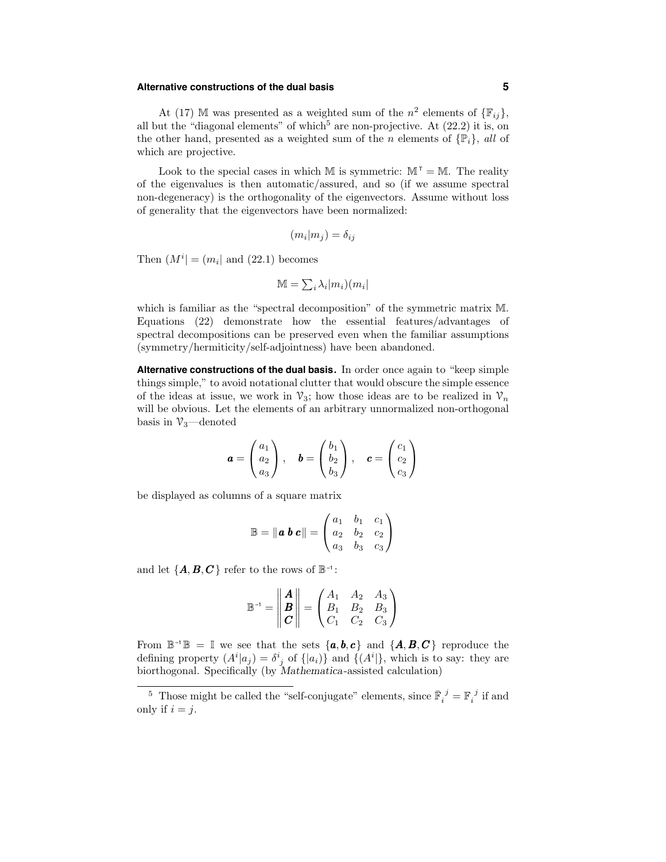## **Alternative constructions of the dual basis 5**

At (17) M was presented as a weighted sum of the  $n^2$  elements of  $\{\mathbb{F}_{ij}\},$ all but the "diagonal elements" of which<sup>5</sup> are non-projective. At  $(22.2)$  it is, on the other hand, presented as a weighted sum of the *n* elements of  $\{\mathbb{P}_i\}$ , all of which are projective.

Look to the special cases in which M is symmetric:  $M^{\dagger} = M$ . The reality of the eigenvalues is then automatic/assured, and so (if we assume spectral non-degeneracy) is the orthogonality of the eigenvectors. Assume without loss of generality that the eigenvectors have been normalized:

$$
(m_i|m_j) = \delta_{ij}
$$

Then  $(M^{i}| = (m_{i}| \text{ and } (22.1))$  becomes

$$
\mathbb{M}=\textstyle\sum_i\lambda_i|m_i)(m_i|
$$

which is familiar as the "spectral decomposition" of the symmetric matrix M. Equations (22) demonstrate how the essential features/advantages of spectral decompositions can be preserved even when the familiar assumptions (symmetry/hermiticity/self-adjointness) have been abandoned.

**Alternative constructions of the dual basis.** In order once again to "keep simple things simple," to avoid notational clutter that would obscure the simple essence of the ideas at issue, we work in  $\mathcal{V}_3$ ; how those ideas are to be realized in  $\mathcal{V}_n$ will be obvious. Let the elements of an arbitrary unnormalized non-orthogonal basis in  $\mathcal{V}_3$ —denoted

$$
\mathbf{a} = \begin{pmatrix} a_1 \\ a_2 \\ a_3 \end{pmatrix}, \quad \mathbf{b} = \begin{pmatrix} b_1 \\ b_2 \\ b_3 \end{pmatrix}, \quad \mathbf{c} = \begin{pmatrix} c_1 \\ c_2 \\ c_3 \end{pmatrix}
$$

be displayed as columns of a square matrix

$$
\mathbb{B} = \|\mathbf{a}\,\mathbf{b}\,\mathbf{c}\| = \begin{pmatrix} a_1 & b_1 & c_1 \\ a_2 & b_2 & c_2 \\ a_3 & b_3 & c_3 \end{pmatrix}
$$

and let  $\{A, B, C\}$  refer to the rows of  $\mathbb{B}^{-1}$ :

$$
\mathbb{B}^{-1} = \begin{vmatrix} A \\ B \\ C \end{vmatrix} = \begin{pmatrix} A_1 & A_2 & A_3 \\ B_1 & B_2 & B_3 \\ C_1 & C_2 & C_3 \end{pmatrix}
$$

From  $\mathbb{B}^{-1}\mathbb{B} = \mathbb{I}$  we see that the sets  $\{a, b, c\}$  and  $\{A, B, C\}$  reproduce the defining property  $(A^i|a_j) = \delta^i{}_j$  of  $\{|a_i\rangle\}$  and  $\{(A^i)\}\)$ , which is to say: they are biorthogonal. Specifically (by Mathematica-assisted calculation)

 $^5\,$  Those might be called the "self-conjugate" elements, since  $\bar{\mathbb{F}}_i^{\ j}=\mathbb{F}_i^{\ j}$  if and only if  $i = j$ .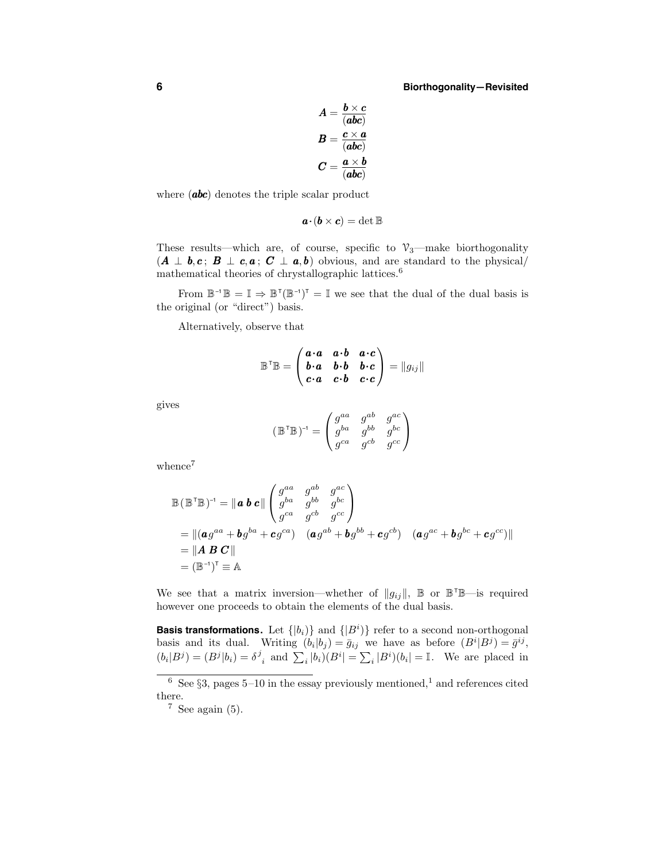$$
A = \frac{b \times c}{(abc)}
$$
  

$$
B = \frac{c \times a}{(abc)}
$$
  

$$
C = \frac{a \times b}{(abc)}
$$

where (**abc**) denotes the triple scalar product

$$
\boldsymbol{a}\!\cdot\!(\boldsymbol{b}\times\boldsymbol{c})=\det\mathbb{B}
$$

These results—which are, of course, specific to  $\mathcal{V}_3$ —make biorthogonality  $(A \perp b, c; B \perp c, a; C \perp a, b)$  obvious, and are standard to the physical/ mathematical theories of chrystallographic lattices.  $\!6\,$ 

From  $\mathbb{B}^{-1}\mathbb{B} = \mathbb{I} \Rightarrow \mathbb{B}^{T}(\mathbb{B}^{-1})^{T} = \mathbb{I}$  we see that the dual of the dual basis is the original (or "direct") basis.

Alternatively, observe that

$$
\mathbb{B}^\mathsf{T} \mathbb{B} = \begin{pmatrix} \mathbf{a} \cdot \mathbf{a} & \mathbf{a} \cdot \mathbf{b} & \mathbf{a} \cdot \mathbf{c} \\ \mathbf{b} \cdot \mathbf{a} & \mathbf{b} \cdot \mathbf{b} & \mathbf{b} \cdot \mathbf{c} \\ \mathbf{c} \cdot \mathbf{a} & \mathbf{c} \cdot \mathbf{b} & \mathbf{c} \cdot \mathbf{c} \end{pmatrix} = ||g_{ij}||
$$

gives

$$
(\mathbb{B}^\mathsf{T} \mathbb{B})^{\mathsf{-1}} = \begin{pmatrix} g^{aa} & g^{ab} & g^{ac} \\ g^{ba} & g^{bb} & g^{bc} \\ g^{ca} & g^{cb} & g^{cc} \end{pmatrix}
$$

whence<sup>7</sup>

$$
\mathbb{B}(\mathbb{B}^\mathsf{T}\mathbb{B})^{-1} = \|\mathbf{a}\,\mathbf{b}\,\mathbf{c}\| \begin{pmatrix} g^{aa} & g^{ab} & g^{ac} \\ g^{ba} & g^{bb} & g^{bc} \\ g^{ca} & g^{cb} & g^{cc} \end{pmatrix}
$$
  
\n
$$
= \|(\mathbf{a}\,g^{aa} + \mathbf{b}\,g^{ba} + \mathbf{c}\,g^{ca}) \quad (\mathbf{a}\,g^{ab} + \mathbf{b}\,g^{bb} + \mathbf{c}\,g^{cb}) \quad (\mathbf{a}\,g^{ac} + \mathbf{b}\,g^{bc} + \mathbf{c}\,g^{cc})\|
$$
  
\n
$$
= \|\mathbf{A}\,\mathbf{B}\,\mathbf{C}\|
$$
  
\n
$$
= (\mathbb{B}^{-1})^\mathsf{T} \equiv \mathbb{A}
$$

We see that a matrix inversion—whether of  $||g_{ij}||$ ,  $\mathbb{B}$  or  $\mathbb{B}^{\dagger} \mathbb{B}$ —is required however one proceeds to obtain the elements of the dual basis.

**Basis transformations.** Let  $\{|b_i\rangle\}$  and  $\{|B^i\rangle\}$  refer to a second non-orthogonal basis and its dual. Writing  $(b_i|b_j) = \bar{g}_{ij}$  we have as before  $(B^i|B^j) = \bar{g}^{ij}$ ,  $(b_i|B^j) = (B^j|b_i) = \delta^j_{\;i}$  and  $\sum_i |b_i|(B^i) = \sum_i |B^i|(b_i) = \mathbb{I}$ . We are placed in

<sup>6</sup> See §3, pages 5–10 in the essay previously mentioned,<sup>1</sup> and references cited there.

 $7$  See again (5).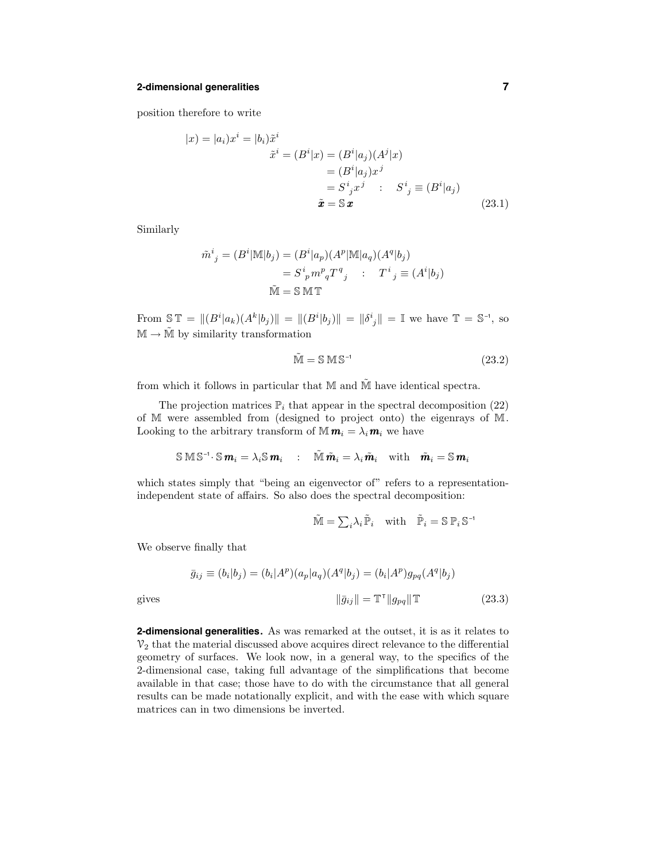#### **2-dimensional generalities 7**

position therefore to write

$$
|x\rangle = |a_i\rangle x^i = |b_i\rangle \tilde{x}^i
$$
  

$$
\tilde{x}^i = (B^i|x) = (B^i|a_j)(A^j|x)
$$
  

$$
= (B^i|a_j)x^j
$$
  

$$
= S^i{}_j x^j : S^i{}_j \equiv (B^i|a_j)
$$
  

$$
\tilde{x} = \mathbb{S} \mathbf{x}
$$
 (23.1)

Similarly

$$
\tilde{m}^i{}_j = (B^i | \mathbb{M} | b_j) = (B^i | a_p) (A^p | \mathbb{M} | a_q) (A^q | b_j)
$$
  

$$
= S^i{}_p m^p{}_q T^q{}_j \qquad T^i{}_j \equiv (A^i | b_j)
$$
  

$$
\tilde{\mathbb{M}} = \mathbb{S} \mathbb{M} \mathbb{T}
$$

From  $\mathbb{S} \mathbb{T} = ||(B^i|a_k)(A^k|b_j)|| = ||(B^i|b_j)|| = ||\delta^i{}_j|| = \mathbb{I}$  we have  $\mathbb{T} = \mathbb{S}^{-1}$ , so  $M \to \tilde{M}$  by similarity transformation

$$
\tilde{\mathbb{M}} = \mathbb{S} \,\mathbb{M} \,\mathbb{S}^{-1} \tag{23.2}
$$

from which it follows in particular that  $M$  and  $\tilde{M}$  have identical spectra.

The projection matrices  $\mathbb{P}_i$  that appear in the spectral decomposition (22) of M were assembled from (designed to project onto) the eigenrays of M. Looking to the arbitrary transform of  $\mathbf{M} \mathbf{m}_i = \lambda_i \mathbf{m}_i$  we have

$$
\mathbb{S} \,\mathbb{M} \,\mathbb{S}^{-1} \cdot \mathbb{S} \, \mathbf{m}_i = \lambda_i \mathbb{S} \, \mathbf{m}_i \quad : \quad \widetilde{\mathbb{M}} \, \tilde{\mathbf{m}}_i = \lambda_i \, \tilde{\mathbf{m}}_i \quad \text{with} \quad \tilde{\mathbf{m}}_i = \mathbb{S} \, \mathbf{m}_i
$$

which states simply that "being an eigenvector of" refers to a representationindependent state of affairs. So also does the spectral decomposition:

$$
\tilde{\mathbb{M}} = \sum_i \lambda_i \, \tilde{\mathbb{P}}_i \quad \text{with} \quad \tilde{\mathbb{P}}_i = \mathbb{S} \, \mathbb{P}_i \, \mathbb{S}^{-1}
$$

We observe finally that

$$
\bar{g}_{ij} \equiv (b_i|b_j) = (b_i|A^p)(a_p|a_q)(A^q|b_j) = (b_i|A^p)g_{pq}(A^q|b_j)
$$
  
gives  

$$
\|\bar{g}_{ij}\| = \mathbb{T}^\tau \|g_{pq}\| \mathbb{T}
$$
 (23.3)

**2-dimensional generalities.** As was remarked at the outset, it is as it relates to  $\mathcal{V}_2$  that the material discussed above acquires direct relevance to the differential geometry of surfaces. We look now, in a general way, to the specifics of the 2-dimensional case, taking full advantage of the simplifications that become available in that case; those have to do with the circumstance that all general results can be made notationally explicit, and with the ease with which square matrices can in two dimensions be inverted.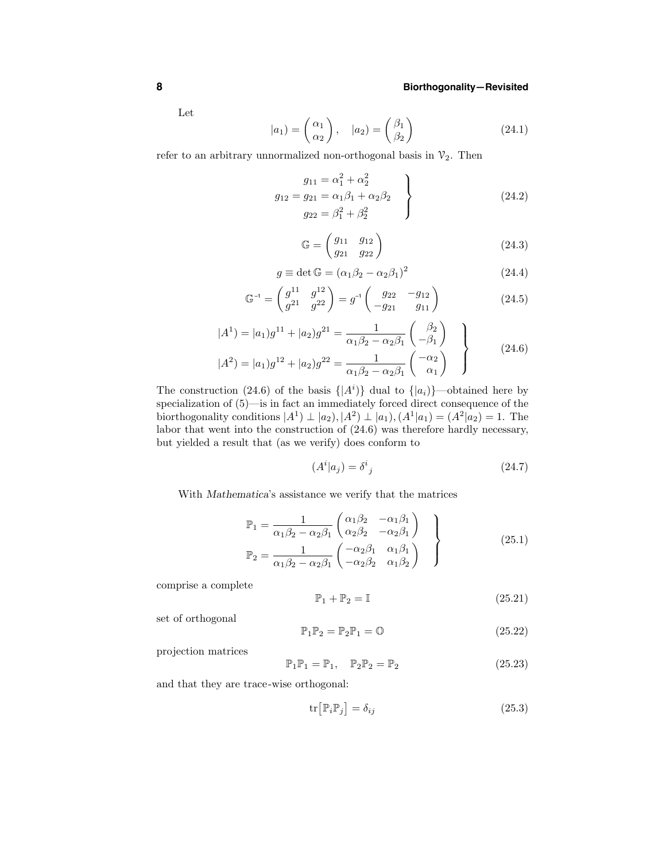Let

$$
|a_1\rangle = \begin{pmatrix} \alpha_1 \\ \alpha_2 \end{pmatrix}, \quad |a_2\rangle = \begin{pmatrix} \beta_1 \\ \beta_2 \end{pmatrix}
$$
 (24.1)

refer to an arbitrary unnormalized non-orthogonal basis in  $\mathcal{V}_2$ . Then

$$
g_{11} = \alpha_1^2 + \alpha_2^2
$$
  
\n
$$
g_{12} = g_{21} = \alpha_1 \beta_1 + \alpha_2 \beta_2
$$
  
\n
$$
g_{22} = \beta_1^2 + \beta_2^2
$$
\n(24.2)

$$
\mathbb{G} = \begin{pmatrix} g_{11} & g_{12} \\ g_{21} & g_{22} \end{pmatrix} \tag{24.3}
$$

$$
g \equiv \det \mathbb{G} = (\alpha_1 \beta_2 - \alpha_2 \beta_1)^2 \tag{24.4}
$$

$$
\mathbb{G}^{-1} = \begin{pmatrix} g^{11} & g^{12} \\ g^{21} & g^{22} \end{pmatrix} = g^{-1} \begin{pmatrix} g_{22} & -g_{12} \\ -g_{21} & g_{11} \end{pmatrix}
$$
 (24.5)

$$
|A^{1}\rangle = |a_{1}\rangle g^{11} + |a_{2}\rangle g^{21} = \frac{1}{\alpha_{1}\beta_{2} - \alpha_{2}\beta_{1}} \begin{pmatrix} \beta_{2} \\ -\beta_{1} \end{pmatrix}
$$
  

$$
|A^{2}\rangle = |a_{1}\rangle g^{12} + |a_{2}\rangle g^{22} = \frac{1}{\alpha_{1}\beta_{2} - \alpha_{2}\beta_{1}} \begin{pmatrix} -\alpha_{2} \\ \alpha_{1} \end{pmatrix}
$$
 (24.6)

The construction (24.6) of the basis  $\{|A^i\rangle\}$  dual to  $\{|a_i\rangle\}$ —obtained here by specialization of  $(5)$ —is in fact an immediately forced direct consequence of the biorthogonality conditions  $|A^1\rangle \perp |a_2\rangle, |A^2\rangle \perp |a_1\rangle, (A^1|a_1) = (A^2|a_2) = 1$ . The labor that went into the construction of (24.6) was therefore hardly necessary, but yielded a result that (as we verify) does conform to

$$
(Ai|aj) = \deltaij
$$
\n(24.7)

With Mathematica's assistance we verify that the matrices

$$
\mathbb{P}_1 = \frac{1}{\alpha_1 \beta_2 - \alpha_2 \beta_1} \begin{pmatrix} \alpha_1 \beta_2 & -\alpha_1 \beta_1 \\ \alpha_2 \beta_2 & -\alpha_2 \beta_1 \end{pmatrix}
$$
\n
$$
\mathbb{P}_2 = \frac{1}{\alpha_1 \beta_2 - \alpha_2 \beta_1} \begin{pmatrix} -\alpha_2 \beta_1 & \alpha_1 \beta_1 \\ -\alpha_2 \beta_2 & \alpha_1 \beta_2 \end{pmatrix}
$$
\n(25.1)

comprise a complete

$$
\mathbb{P}_1 + \mathbb{P}_2 = \mathbb{I} \tag{25.21}
$$

set of orthogonal

$$
\mathbb{P}_1 \mathbb{P}_2 = \mathbb{P}_2 \mathbb{P}_1 = \mathbb{O} \tag{25.22}
$$

projection matrices

$$
\mathbb{P}_1 \mathbb{P}_1 = \mathbb{P}_1, \quad \mathbb{P}_2 \mathbb{P}_2 = \mathbb{P}_2 \tag{25.23}
$$

and that they are trace-wise orthogonal:

$$
\operatorname{tr}\left[\mathbb{P}_{i}\mathbb{P}_{j}\right] = \delta_{ij} \tag{25.3}
$$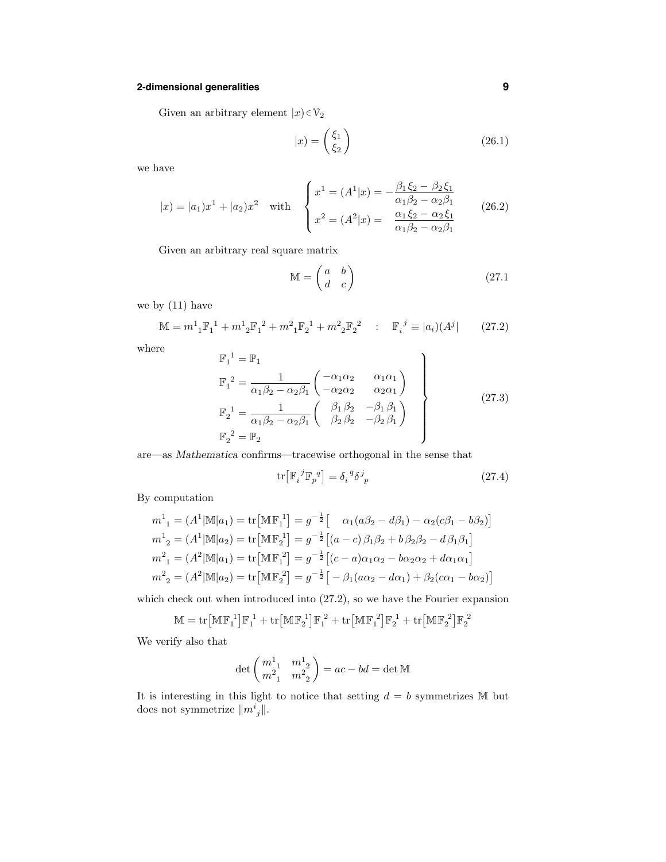# **2-dimensional generalities 9**

Given an arbitrary element  $|x\rangle \in \mathcal{V}_2$ 

$$
|x) = \begin{pmatrix} \xi_1 \\ \xi_2 \end{pmatrix} \tag{26.1}
$$

we have

$$
|x| = |a_1|x^1 + |a_2|x^2 \quad \text{with} \quad\n\begin{cases}\nx^1 = (A^1|x) = -\frac{\beta_1\xi_2 - \beta_2\xi_1}{\alpha_1\beta_2 - \alpha_2\beta_1} \\
x^2 = (A^2|x) = \frac{\alpha_1\xi_2 - \alpha_2\xi_1}{\alpha_1\beta_2 - \alpha_2\beta_1}\n\end{cases}\n\tag{26.2}
$$

Given an arbitrary real square matrix

$$
\mathbb{M} = \begin{pmatrix} a & b \\ d & c \end{pmatrix} \tag{27.1}
$$

we by (11) have

$$
\mathbb{M} = m^1{}_1 \mathbb{F}_1^1 + m^1{}_2 \mathbb{F}_1^2 + m^2{}_1 \mathbb{F}_2^1 + m^2{}_2 \mathbb{F}_2^2 \quad : \quad \mathbb{F}_i^j \equiv |a_i|(A^j) \tag{27.2}
$$

where

$$
\mathbb{F}_{1}^{1} = \mathbb{P}_{1}
$$
\n
$$
\mathbb{F}_{1}^{2} = \frac{1}{\alpha_{1}\beta_{2} - \alpha_{2}\beta_{1}} \begin{pmatrix} -\alpha_{1}\alpha_{2} & \alpha_{1}\alpha_{1} \\ -\alpha_{2}\alpha_{2} & \alpha_{2}\alpha_{1} \end{pmatrix}
$$
\n
$$
\mathbb{F}_{2}^{1} = \frac{1}{\alpha_{1}\beta_{2} - \alpha_{2}\beta_{1}} \begin{pmatrix} \beta_{1}\beta_{2} & -\beta_{1}\beta_{1} \\ \beta_{2}\beta_{2} & -\beta_{2}\beta_{1} \end{pmatrix}
$$
\n
$$
\mathbb{F}_{2}^{2} = \mathbb{P}_{2}
$$
\n(27.3)

are—as Mathematica confirms—tracewise orthogonal in the sense that

$$
\operatorname{tr}\left[\mathbb{F}_{i}{}^{j}\mathbb{F}_{p}{}^{q}\right] = \delta_{i}{}^{q}\delta^{j}{}_{p} \tag{27.4}
$$

By computation

$$
m_1^1 = (A^1 | \mathbb{M} | a_1) = \text{tr} [\mathbb{M} \mathbb{F}_1^1] = g^{-\frac{1}{2}} [ \alpha_1(a\beta_2 - d\beta_1) - \alpha_2(c\beta_1 - b\beta_2) ]
$$
  
\n
$$
m_2^1 = (A^1 | \mathbb{M} | a_2) = \text{tr} [\mathbb{M} \mathbb{F}_2^1] = g^{-\frac{1}{2}} [(a - c)\beta_1\beta_2 + b\beta_2\beta_2 - d\beta_1\beta_1]
$$
  
\n
$$
m_2^2 = (A^2 | \mathbb{M} | a_1) = \text{tr} [\mathbb{M} \mathbb{F}_1^2] = g^{-\frac{1}{2}} [(c - a)\alpha_1\alpha_2 - b\alpha_2\alpha_2 + d\alpha_1\alpha_1]
$$
  
\n
$$
m_2^2 = (A^2 | \mathbb{M} | a_2) = \text{tr} [\mathbb{M} \mathbb{F}_2^2] = g^{-\frac{1}{2}} [-\beta_1(a\alpha_2 - d\alpha_1) + \beta_2(c\alpha_1 - b\alpha_2)]
$$

which check out when introduced into (27.2), so we have the Fourier expansion

$$
\mathbb{M}=\mathrm{tr}\big[\mathbb{M}\mathbb{F}_1^{\ 1}\big]\mathbb{F}_1^{\ 1}+\mathrm{tr}\big[\mathbb{M}\mathbb{F}_2^{\ 1}\big]\mathbb{F}_1^{\ 2}+\mathrm{tr}\big[\mathbb{M}\mathbb{F}_1^{\ 2}\big]\mathbb{F}_2^{\ 1}+\mathrm{tr}\big[\mathbb{M}\mathbb{F}_2^{\ 2}\big]\mathbb{F}_2^{\ 2}
$$

We verify also that

$$
\det \begin{pmatrix} m_{-1}^1 & m_{-2}^1 \\ m_{-1}^2 & m_{-2}^2 \end{pmatrix} = ac - bd = \det \mathbb{M}
$$

It is interesting in this light to notice that setting  $d = b$  symmetrizes M but does not symmetrize  $||m_j^i||$ .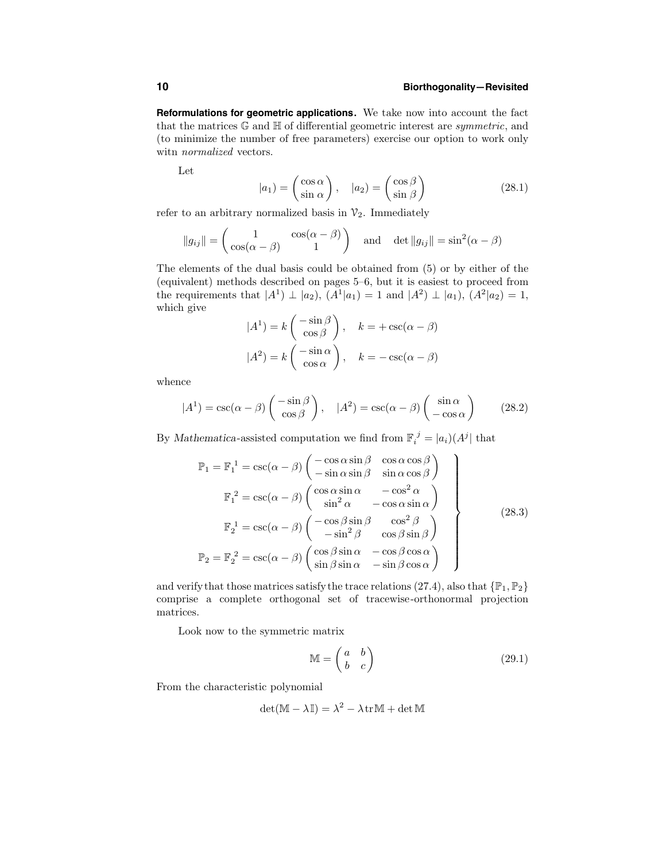**Reformulations for geometric applications.** We take now into account the fact that the matrices  $\mathbb G$  and  $\mathbb H$  of differential geometric interest are *symmetric*, and (to minimize the number of free parameters) exercise our option to work only witn normalized vectors.

Let

$$
|a_1\rangle = \begin{pmatrix} \cos \alpha \\ \sin \alpha \end{pmatrix}, \quad |a_2\rangle = \begin{pmatrix} \cos \beta \\ \sin \beta \end{pmatrix}
$$
 (28.1)

refer to an arbitrary normalized basis in  $\mathcal{V}_2$ . Immediately

$$
||g_{ij}|| = \begin{pmatrix} 1 & \cos(\alpha - \beta) \\ \cos(\alpha - \beta) & 1 \end{pmatrix}
$$
 and  $\det ||g_{ij}|| = \sin^2(\alpha - \beta)$ 

The elements of the dual basis could be obtained from (5) or by either of the (equivalent) methods described on pages 5–6, but it is easiest to proceed from the requirements that  $|A^1\rangle \perp |a_2\rangle$ ,  $(A^1|a_1\rangle = 1$  and  $|A^2\rangle \perp |a_1\rangle$ ,  $(A^2|a_2\rangle = 1$ , which give

$$
|A^{1}| = k \begin{pmatrix} -\sin \beta \\ \cos \beta \end{pmatrix}, \quad k = + \csc(\alpha - \beta)
$$

$$
|A^{2}| = k \begin{pmatrix} -\sin \alpha \\ \cos \alpha \end{pmatrix}, \quad k = -\csc(\alpha - \beta)
$$

whence

$$
|A^{1}| = \csc(\alpha - \beta) \begin{pmatrix} -\sin \beta \\ \cos \beta \end{pmatrix}, \quad |A^{2}| = \csc(\alpha - \beta) \begin{pmatrix} \sin \alpha \\ -\cos \alpha \end{pmatrix}
$$
 (28.2)

By Mathematica-assisted computation we find from  $\mathbb{F}_i^{\ j} = |a_i|(A^j)$  that

$$
\mathbb{P}_{1} = \mathbb{F}_{1}^{1} = \csc(\alpha - \beta) \begin{pmatrix} -\cos \alpha \sin \beta & \cos \alpha \cos \beta \\ -\sin \alpha \sin \beta & \sin \alpha \cos \beta \end{pmatrix}
$$

$$
\mathbb{F}_{1}^{2} = \csc(\alpha - \beta) \begin{pmatrix} \cos \alpha \sin \alpha & -\cos^{2} \alpha \\ \sin^{2} \alpha & -\cos \alpha \sin \alpha \end{pmatrix}
$$

$$
\mathbb{F}_{2}^{1} = \csc(\alpha - \beta) \begin{pmatrix} -\cos \beta \sin \beta & \cos^{2} \beta \\ -\sin^{2} \beta & \cos \beta \sin \beta \end{pmatrix}
$$

$$
\mathbb{P}_{2} = \mathbb{F}_{2}^{2} = \csc(\alpha - \beta) \begin{pmatrix} \cos \beta \sin \alpha & -\cos \beta \cos \alpha \\ \sin \beta \sin \alpha & -\sin \beta \cos \alpha \end{pmatrix}
$$
(28.3)

and verify that those matrices satisfy the trace relations (27.4), also that  $\{\mathbb{P}_1, \mathbb{P}_2\}$ comprise a complete orthogonal set of tracewise-orthonormal projection matrices.

Look now to the symmetric matrix

$$
\mathbb{M} = \begin{pmatrix} a & b \\ b & c \end{pmatrix} \tag{29.1}
$$

From the characteristic polynomial

$$
\det(\mathbb{M} - \lambda \mathbb{I}) = \lambda^2 - \lambda \operatorname{tr}\mathbb{M} + \det \mathbb{M}
$$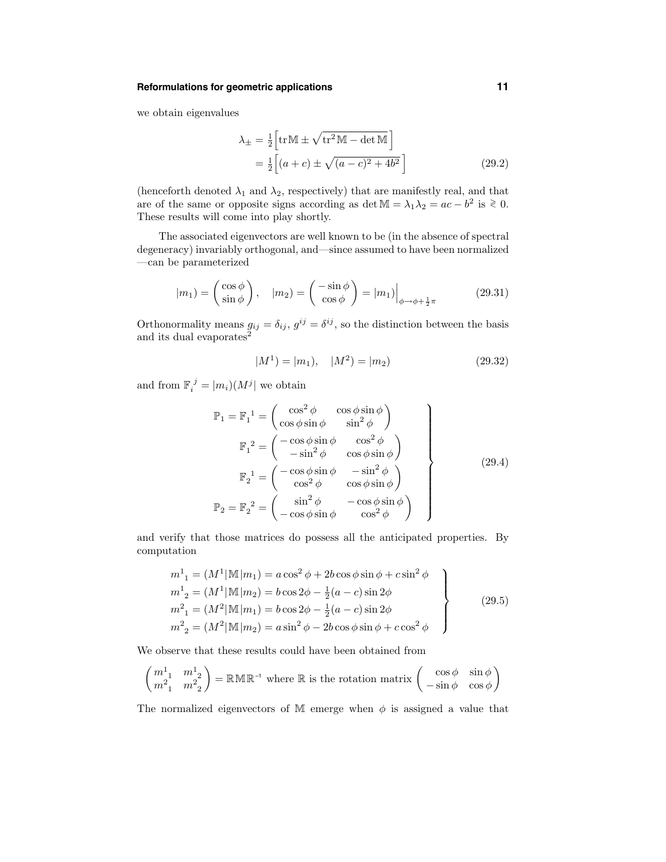### **Reformulations for geometric applications 11**

we obtain eigenvalues

$$
\lambda_{\pm} = \frac{1}{2} \left[ \text{tr} \mathbb{M} \pm \sqrt{\text{tr}^2 \mathbb{M} - \det \mathbb{M}} \right]
$$
  
= 
$$
\frac{1}{2} \left[ (a+c) \pm \sqrt{(a-c)^2 + 4b^2} \right]
$$
 (29.2)

(henceforth denoted  $\lambda_1$  and  $\lambda_2$ , respectively) that are manifestly real, and that are of the same or opposite signs according as det  $M = \lambda_1 \lambda_2 = ac - b^2$  is  $\ge 0$ . These results will come into play shortly.

The associated eigenvectors are well known to be (in the absence of spectral degeneracy) invariably orthogonal, and—since assumed to have been normalized —can be parameterized

$$
|m_1\rangle = \begin{pmatrix} \cos\phi \\ \sin\phi \end{pmatrix}, \quad |m_2\rangle = \begin{pmatrix} -\sin\phi \\ \cos\phi \end{pmatrix} = |m_1\rangle \Big|_{\phi \to \phi + \frac{1}{2}\pi}
$$
(29.31)

Orthonormality means  $g_{ij} = \delta_{ij}$ ,  $g^{ij} = \delta^{ij}$ , so the distinction between the basis and its dual evaporates<sup>2</sup>

$$
|M^1| = |m_1|, \quad |M^2| = |m_2| \tag{29.32}
$$

and from  $\mathbb{F}_i^{\ j} = |m_i)(M^j|$  we obtain

$$
\mathbb{P}_1 = \mathbb{F}_1^1 = \begin{pmatrix} \cos^2 \phi & \cos \phi \sin \phi \\ \cos \phi \sin \phi & \sin^2 \phi \end{pmatrix}
$$

$$
\mathbb{F}_1^2 = \begin{pmatrix} -\cos \phi \sin \phi & \cos^2 \phi \\ -\sin^2 \phi & \cos \phi \sin \phi \end{pmatrix}
$$

$$
\mathbb{F}_2^1 = \begin{pmatrix} -\cos \phi \sin \phi & -\sin^2 \phi \\ \cos^2 \phi & \cos \phi \sin \phi \end{pmatrix}
$$

$$
\mathbb{P}_2 = \mathbb{F}_2^2 = \begin{pmatrix} \sin^2 \phi & -\cos \phi \sin \phi \\ -\cos \phi \sin \phi & \cos^2 \phi \end{pmatrix}
$$
(29.4)

and verify that those matrices do possess all the anticipated properties. By computation

$$
m^{1}_{1} = (M^{1}|\mathbb{M}|m_{1}) = a \cos^{2} \phi + 2b \cos \phi \sin \phi + c \sin^{2} \phi
$$
  
\n
$$
m^{1}_{2} = (M^{1}|\mathbb{M}|m_{2}) = b \cos 2\phi - \frac{1}{2}(a - c) \sin 2\phi
$$
  
\n
$$
m^{2}_{1} = (M^{2}|\mathbb{M}|m_{1}) = b \cos 2\phi - \frac{1}{2}(a - c) \sin 2\phi
$$
  
\n
$$
m^{2}_{2} = (M^{2}|\mathbb{M}|m_{2}) = a \sin^{2} \phi - 2b \cos \phi \sin \phi + c \cos^{2} \phi
$$
\n(29.5)

We observe that these results could have been obtained from

$$
\begin{pmatrix} m_{1}^{1} & m_{2}^{1} \\ m_{1}^{2} & m_{2}^{2} \end{pmatrix} = \mathbb{R} \mathbb{M} \mathbb{R}^{-1}
$$
 where  $\mathbb{R}$  is the rotation matrix  $\begin{pmatrix} \cos \phi & \sin \phi \\ -\sin \phi & \cos \phi \end{pmatrix}$ 

The normalized eigenvectors of M emerge when  $\phi$  is assigned a value that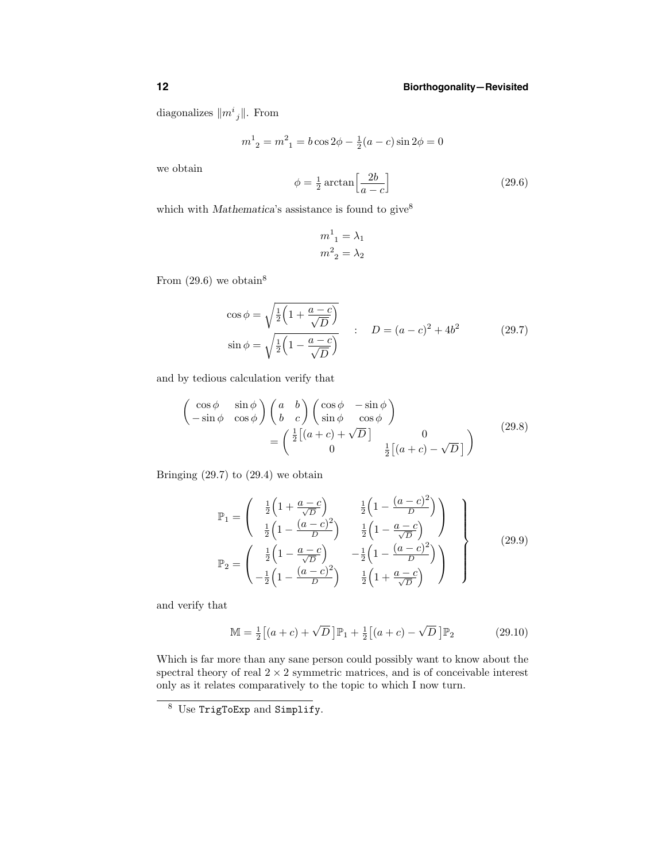diagonalizes  $||m^i{}_j||$ . From

$$
m^{1}_{2} = m^{2}_{1} = b \cos 2\phi - \frac{1}{2}(a - c)\sin 2\phi = 0
$$

we obtain

$$
\phi = \frac{1}{2} \arctan\left[\frac{2b}{a-c}\right] \tag{29.6}
$$

which with Mathematica's assistance is found to give<sup>8</sup>

$$
m^1_{1} = \lambda_1
$$

$$
m^2_{2} = \lambda_2
$$

From  $(29.6)$  we obtain<sup>8</sup>

$$
\cos \phi = \sqrt{\frac{1}{2} \left( 1 + \frac{a - c}{\sqrt{D}} \right)} \n\sin \phi = \sqrt{\frac{1}{2} \left( 1 - \frac{a - c}{\sqrt{D}} \right)} \nD = (a - c)^2 + 4b^2
$$
\n(29.7)

and by tedious calculation verify that

$$
\begin{pmatrix}\n\cos \phi & \sin \phi \\
-\sin \phi & \cos \phi\n\end{pmatrix}\n\begin{pmatrix}\na & b \\
b & c\n\end{pmatrix}\n\begin{pmatrix}\n\cos \phi & -\sin \phi \\
\sin \phi & \cos \phi\n\end{pmatrix}\n= \n\begin{pmatrix}\n\frac{1}{2}[(a+c) + \sqrt{D}] & 0 \\
0 & \frac{1}{2}[(a+c) - \sqrt{D}]\n\end{pmatrix}
$$
\n(29.8)

Bringing  $(29.7)$  to  $(29.4)$  we obtain

$$
\mathbb{P}_{1} = \begin{pmatrix} \frac{1}{2} \left( 1 + \frac{a-c}{\sqrt{D}} \right) & \frac{1}{2} \left( 1 - \frac{(a-c)^{2}}{D} \right) \\ \frac{1}{2} \left( 1 - \frac{(a-c)^{2}}{D} \right) & \frac{1}{2} \left( 1 - \frac{a-c}{\sqrt{D}} \right) \\ \frac{1}{2} \left( 1 - \frac{a-c}{\sqrt{D}} \right) & -\frac{1}{2} \left( 1 - \frac{(a-c)^{2}}{D} \right) \\ -\frac{1}{2} \left( 1 - \frac{(a-c)^{2}}{D} \right) & \frac{1}{2} \left( 1 + \frac{a-c}{\sqrt{D}} \right) \end{pmatrix}
$$
\n(29.9)

and verify that

$$
\mathbb{M} = \frac{1}{2} \left[ (a+c) + \sqrt{D} \right] \mathbb{P}_1 + \frac{1}{2} \left[ (a+c) - \sqrt{D} \right] \mathbb{P}_2 \tag{29.10}
$$

Which is far more than any sane person could possibly want to know about the spectral theory of real  $2 \times 2$  symmetric matrices, and is of conceivable interest only as it relates comparatively to the topic to which I now turn.

<sup>8</sup> Use TrigToExp and Simplify.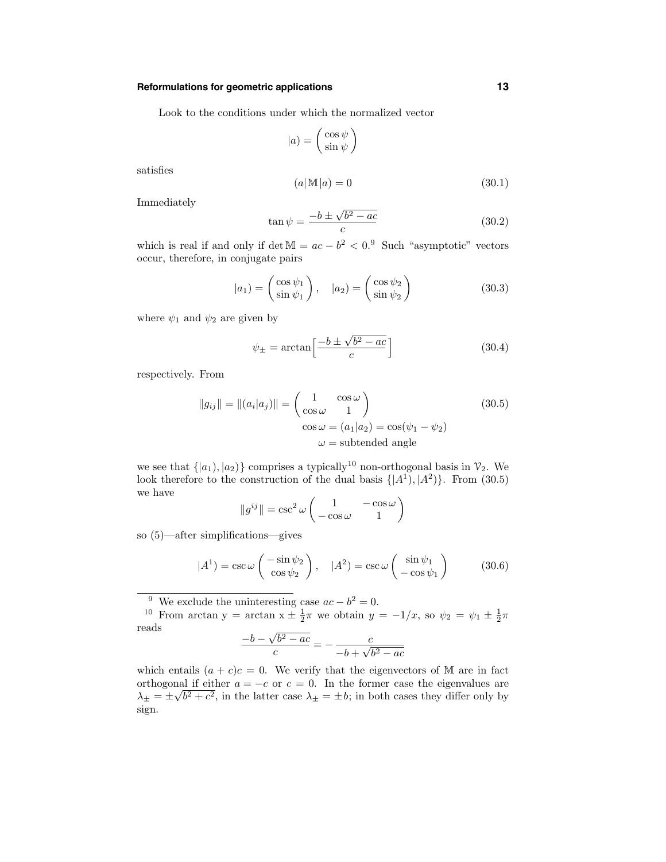# **Reformulations for geometric applications 13**

Look to the conditions under which the normalized vector

$$
|a) = \begin{pmatrix} \cos \psi \\ \sin \psi \end{pmatrix}
$$

satisfies

$$
(a|\mathbb{M}|a) = 0 \tag{30.1}
$$

Immediately

$$
\tan\psi = \frac{-b \pm \sqrt{b^2 - ac}}{c}
$$
\n(30.2)

which is real if and only if det  $M = ac - b^2 < 0.9$  Such "asymptotic" vectors occur, therefore, in conjugate pairs

$$
|a_1\rangle = \begin{pmatrix} \cos\psi_1 \\ \sin\psi_1 \end{pmatrix}, \quad |a_2\rangle = \begin{pmatrix} \cos\psi_2 \\ \sin\psi_2 \end{pmatrix}
$$
 (30.3)

where  $\psi_1$  and  $\psi_2$  are given by

$$
\psi_{\pm} = \arctan\left[\frac{-b \pm \sqrt{b^2 - ac}}{c}\right] \tag{30.4}
$$

respectively. From

$$
||g_{ij}|| = ||(a_i|a_j)|| = \begin{pmatrix} 1 & \cos \omega \\ \cos \omega & 1 \end{pmatrix}
$$
  
\n
$$
\cos \omega = (a_1|a_2) = \cos(\psi_1 - \psi_2)
$$
  
\n
$$
\omega = \text{subtended angle}
$$
\n(30.5)

we see that  $\{|a_1\rangle, |a_2\rangle\}$  comprises a typically<sup>10</sup> non-orthogonal basis in  $\mathcal{V}_2$ . We look therefore to the construction of the dual basis  $\{|A^1\rangle, |A^2\rangle\}$ . From (30.5) we have

$$
||g^{ij}|| = \csc^2 \omega \begin{pmatrix} 1 & -\cos \omega \\ -\cos \omega & 1 \end{pmatrix}
$$

so (5)—after simplifications—gives

$$
|A^1| = \csc\omega \begin{pmatrix} -\sin\psi_2\\ \cos\psi_2 \end{pmatrix}, \quad |A^2| = \csc\omega \begin{pmatrix} \sin\psi_1\\ -\cos\psi_1 \end{pmatrix}
$$
 (30.6)

<sup>9</sup> We exclude the uninteresting case  $ac - b^2 = 0$ .<br><sup>10</sup> From arctan y = arctan x  $\pm \frac{1}{2}\pi$  we obtain  $y = -1/x$ , so  $\psi_2 = \psi_1 \pm \frac{1}{2}\pi$ reads

$$
\frac{-b - \sqrt{b^2 - ac}}{c} = -\frac{c}{-b + \sqrt{b^2 - ac}}
$$

which entails  $(a + c)c = 0$ . We verify that the eigenvectors of M are in fact orthogonal if either  $a = -c$  or  $c = 0$ . In the former case the eigenvalues are  $\lambda_{\pm} = \pm \sqrt{b^2 + c^2}$ , in the latter case  $\lambda_{\pm} = \pm b$ ; in both cases they differ only by sign.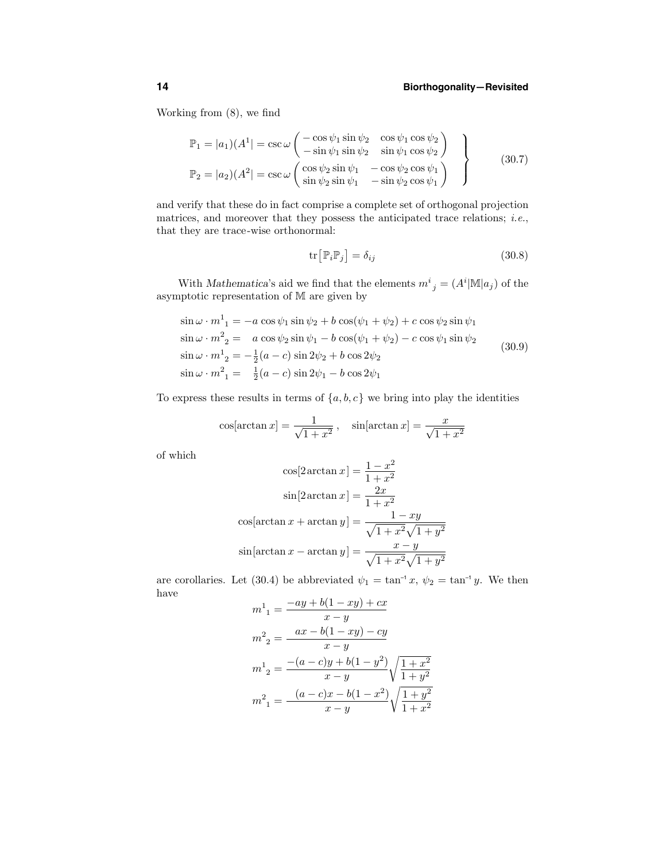Working from (8), we find

$$
\mathbb{P}_1 = |a_1|(A^1| = \csc \omega \begin{pmatrix} -\cos \psi_1 \sin \psi_2 & \cos \psi_1 \cos \psi_2 \\ -\sin \psi_1 \sin \psi_2 & \sin \psi_1 \cos \psi_2 \end{pmatrix}
$$
  
\n
$$
\mathbb{P}_2 = |a_2|(A^2| = \csc \omega \begin{pmatrix} \cos \psi_2 \sin \psi_1 & -\cos \psi_2 \cos \psi_1 \\ \sin \psi_2 \sin \psi_1 & -\sin \psi_2 \cos \psi_1 \end{pmatrix}
$$
\n(30.7)

and verify that these do in fact comprise a complete set of orthogonal projection matrices, and moreover that they possess the anticipated trace relations; *i.e.*, that they are trace-wise orthonormal:

$$
\operatorname{tr}\left[\mathbb{P}_{i}\mathbb{P}_{j}\right] = \delta_{ij} \tag{30.8}
$$

With Mathematica's aid we find that the elements  $m^i_{\ j} = (A^i | \mathbb{M} | a_j)$  of the asymptotic representation of M are given by

$$
\sin \omega \cdot m_1^1 = -a \cos \psi_1 \sin \psi_2 + b \cos(\psi_1 + \psi_2) + c \cos \psi_2 \sin \psi_1 \n\sin \omega \cdot m_2^2 = a \cos \psi_2 \sin \psi_1 - b \cos(\psi_1 + \psi_2) - c \cos \psi_1 \sin \psi_2 \n\sin \omega \cdot m_2^1 = -\frac{1}{2}(a - c) \sin 2\psi_2 + b \cos 2\psi_2 \n\sin \omega \cdot m_1^2 = \frac{1}{2}(a - c) \sin 2\psi_1 - b \cos 2\psi_1
$$
\n(30.9)

To express these results in terms of  $\{a, b, c\}$  we bring into play the identities

$$
\cos[\arctan x] = \frac{1}{\sqrt{1+x^2}}, \quad \sin[\arctan x] = \frac{x}{\sqrt{1+x^2}}
$$

of which

$$
\cos[2\arctan x] = \frac{1-x^2}{1+x^2}
$$

$$
\sin[2\arctan x] = \frac{2x}{1+x^2}
$$

$$
\cos[\arctan x + \arctan y] = \frac{1-xy}{\sqrt{1+x^2}\sqrt{1+y^2}}
$$

$$
\sin[\arctan x - \arctan y] = \frac{x-y}{\sqrt{1+x^2}\sqrt{1+y^2}}
$$

are corollaries. Let (30.4) be abbreviated  $\psi_1 = \tan^{-1} x$ ,  $\psi_2 = \tan^{-1} y$ . We then have  $+ b(1 - xu) +$ 

$$
m^{1}_{1} = \frac{-ay + b(1 - xy) + cx}{x - y}
$$
  
\n
$$
m^{2}_{2} = \frac{ax - b(1 - xy) - cy}{x - y}
$$
  
\n
$$
m^{1}_{2} = \frac{-(a - c)y + b(1 - y^{2})}{x - y} \sqrt{\frac{1 + x^{2}}{1 + y^{2}}}
$$
  
\n
$$
m^{2}_{1} = \frac{(a - c)x - b(1 - x^{2})}{x - y} \sqrt{\frac{1 + y^{2}}{1 + x^{2}}}
$$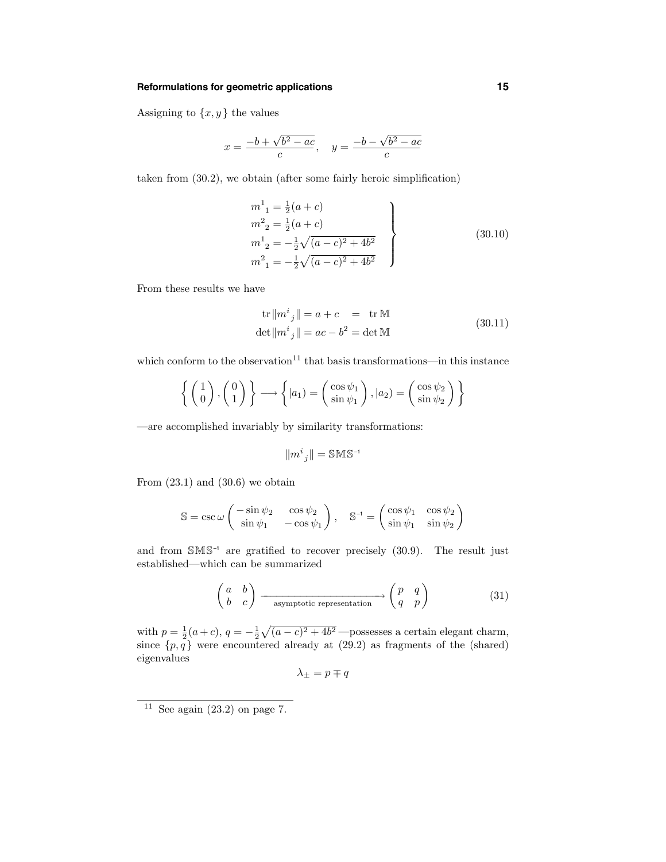#### **Reformulations for geometric applications 15**

Assigning to  $\{x, y\}$  the values

$$
x = \frac{-b + \sqrt{b^2 - ac}}{c}, \quad y = \frac{-b - \sqrt{b^2 - ac}}{c}
$$

taken from (30.2), we obtain (after some fairly heroic simplification)

$$
m^{1}_{1} = \frac{1}{2}(a+c)
$$
  
\n
$$
m^{2}_{2} = \frac{1}{2}(a+c)
$$
  
\n
$$
m^{1}_{2} = -\frac{1}{2}\sqrt{(a-c)^{2} + 4b^{2}}
$$
  
\n
$$
m^{2}_{1} = -\frac{1}{2}\sqrt{(a-c)^{2} + 4b^{2}}
$$
\n(30.10)

From these results we have

$$
\text{tr} \left\| m^i_{\ j} \right\| = a + c \quad = \quad \text{tr} \,\mathbb{M}
$$
\n
$$
\text{det} \left\| m^i_{\ j} \right\| = ac - b^2 = \text{det} \,\mathbb{M}
$$
\n
$$
(30.11)
$$

which conform to the observation<sup>11</sup> that basis transformations—in this instance

$$
\left\{ \begin{pmatrix} 1 \\ 0 \end{pmatrix}, \begin{pmatrix} 0 \\ 1 \end{pmatrix} \right\} \longrightarrow \left\{ |a_1\rangle = \begin{pmatrix} \cos \psi_1 \\ \sin \psi_1 \end{pmatrix}, |a_2\rangle = \begin{pmatrix} \cos \psi_2 \\ \sin \psi_2 \end{pmatrix} \right\}
$$

—are accomplished invariably by similarity transformations:

$$
\|m^i{}_j\|=\mathbb S\mathbb M\mathbb S^{\text{-}1}
$$

From  $(23.1)$  and  $(30.6)$  we obtain

$$
\mathbb{S}=\csc{\omega}\left(\begin{array}{cc} -\sin{\psi_2} & \cos{\psi_2} \\ \sin{\psi_1} & -\cos{\psi_1} \end{array}\right),\quad \mathbb{S}^{-1}=\left(\begin{array}{cc} \cos{\psi_1} & \cos{\psi_2} \\ \sin{\psi_1} & \sin{\psi_2} \end{array}\right)
$$

and from SMS–1 are gratified to recover precisely (30.9). The result just established—which can be summarized

$$
\begin{pmatrix} a & b \\ b & c \end{pmatrix} \xrightarrow{\text{asymptotic representation}} \begin{pmatrix} p & q \\ q & p \end{pmatrix}
$$
 (31)

with  $p = \frac{1}{2}(a+c)$ ,  $q = -\frac{1}{2}\sqrt{(a-c)^2 + 4b^2}$  —possesses a certain elegant charm, since  $\{p,q\}$  were encountered already at  $(29.2)$  as fragments of the (shared) eigenvalues

$$
\lambda_\pm=p\mp q
$$

<sup>&</sup>lt;sup>11</sup> See again (23.2) on page 7.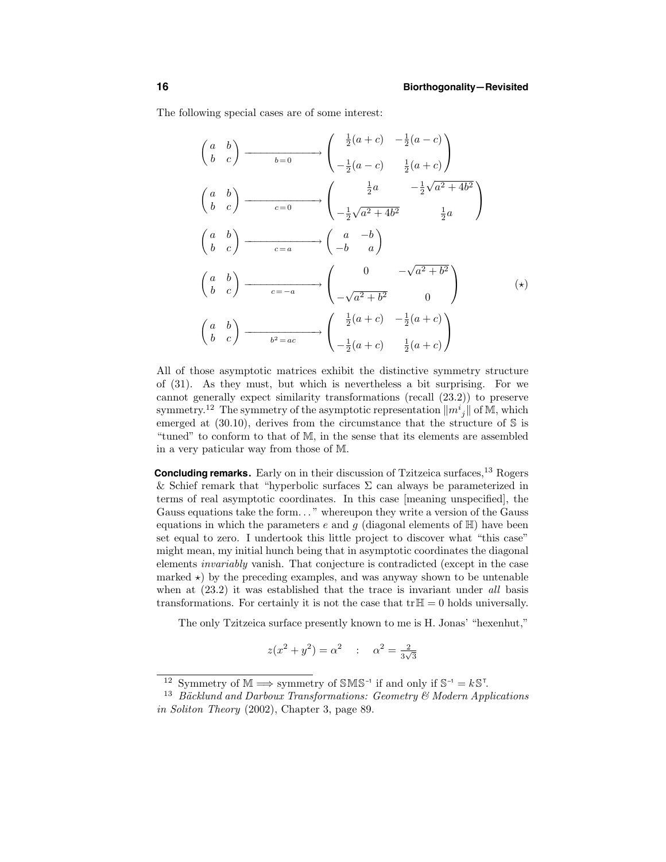The following special cases are of some interest:

$$
\begin{pmatrix}\na & b \\
b & c\n\end{pmatrix}\n\xrightarrow{b=0}\n\begin{pmatrix}\n\frac{1}{2}(a+c) & -\frac{1}{2}(a-c) \\
-\frac{1}{2}(a-c) & \frac{1}{2}(a+c)\n\end{pmatrix}
$$
\n
$$
\begin{pmatrix}\na & b \\
b & c\n\end{pmatrix}\n\xrightarrow{c=0}\n\begin{pmatrix}\n\frac{1}{2}a & -\frac{1}{2}\sqrt{a^2+4b^2} \\
-\frac{1}{2}\sqrt{a^2+4b^2} & \frac{1}{2}a\n\end{pmatrix}
$$
\n
$$
\begin{pmatrix}\na & b \\
b & c\n\end{pmatrix}\n\xrightarrow{c=a}\n\begin{pmatrix}\na & -b \\
-b & a\n\end{pmatrix}
$$
\n
$$
\begin{pmatrix}\na & b \\
b & c\n\end{pmatrix}\n\xrightarrow{c=-a}\n\begin{pmatrix}\n0 & -\sqrt{a^2+b^2} \\
-\sqrt{a^2+b^2} & 0\n\end{pmatrix}\n\begin{pmatrix}\n\frac{1}{2}(a+c) & -\frac{1}{2}(a+c) \\
b & c\n\end{pmatrix}\n\xrightarrow{b^2=ac}\n\begin{pmatrix}\n\frac{1}{2}(a+c) & \frac{1}{2}(a+c) \\
-\frac{1}{2}(a+c) & \frac{1}{2}(a+c)\n\end{pmatrix}
$$

All of those asymptotic matrices exhibit the distinctive symmetry structure of (31). As they must, but which is nevertheless a bit surprising. For we cannot generally expect similarity transformations (recall (23.2)) to preserve symmetry.<sup>12</sup> The symmetry of the asymptotic representation  $||m_j||$  of M, which emerged at  $(30.10)$ , derives from the circumstance that the structure of S is "tuned" to conform to that of M, in the sense that its elements are assembled in a very paticular way from those of M.

**Concluding remarks.** Early on in their discussion of Tzitzeica surfaces,<sup>13</sup> Rogers & Schief remark that "hyperbolic surfaces  $\Sigma$  can always be parameterized in terms of real asymptotic coordinates. In this case [meaning unspecified], the Gauss equations take the form. . . " whereupon they write a version of the Gauss equations in which the parameters e and g (diagonal elements of  $\mathbb{H}$ ) have been set equal to zero. I undertook this little project to discover what "this case" might mean, my initial hunch being that in asymptotic coordinates the diagonal elements invariably vanish. That conjecture is contradicted (except in the case marked  $\star$ ) by the preceding examples, and was anyway shown to be untenable when at  $(23.2)$  it was established that the trace is invariant under all basis transformations. For certainly it is not the case that  $tr\mathbb{H} = 0$  holds universally.

The only Tzitzeica surface presently known to me is H. Jonas' "hexenhut,"

$$
z(x^2 + y^2) = \alpha^2
$$
 :  $\alpha^2 = \frac{2}{3\sqrt{3}}$ 

<sup>&</sup>lt;sup>12</sup> Symmetry of  $\mathbb{M} \Longrightarrow$  symmetry of SMS<sup>-1</sup> if and only if  $\mathbb{S}^{-1} = k \mathbb{S}^T$ .

<sup>&</sup>lt;sup>13</sup> Bäcklund and Darboux Transformations: Geometry  $\mathcal{B}$  Modern Applications in Soliton Theory (2002), Chapter 3, page 89.